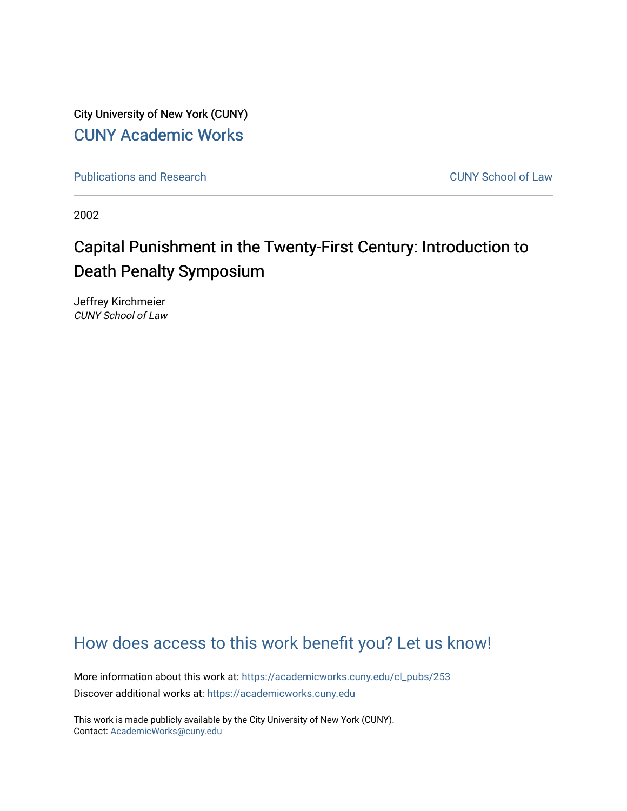City University of New York (CUNY) [CUNY Academic Works](https://academicworks.cuny.edu/) 

[Publications and Research](https://academicworks.cuny.edu/cl_pubs) [CUNY School of Law](https://academicworks.cuny.edu/cl) 

2002

## Capital Punishment in the Twenty-First Century: Introduction to Death Penalty Symposium

Jeffrey Kirchmeier CUNY School of Law

## [How does access to this work benefit you? Let us know!](http://ols.cuny.edu/academicworks/?ref=https://academicworks.cuny.edu/cl_pubs/253)

More information about this work at: [https://academicworks.cuny.edu/cl\\_pubs/253](https://academicworks.cuny.edu/cl_pubs/253) Discover additional works at: [https://academicworks.cuny.edu](https://academicworks.cuny.edu/?)

This work is made publicly available by the City University of New York (CUNY). Contact: [AcademicWorks@cuny.edu](mailto:AcademicWorks@cuny.edu)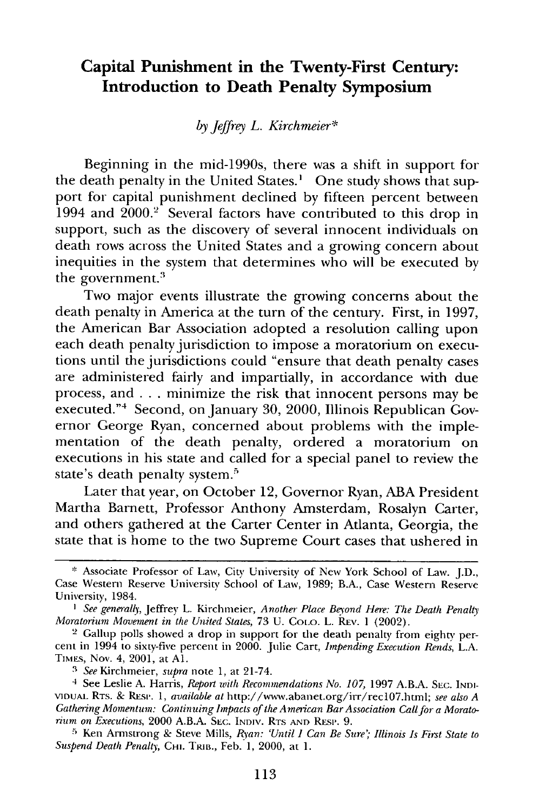## **Capital Punishment in the Twenty-First Century: Introduction to Death Penalty Symposium**

## *by Jeffrey L. Kirchmeier\**

Beginning in the mid-1990s, there was a shift in support for the death penalty in the United States.' One study shows that support for capital punishment declined by fifteen percent between 1994 and 2000.<sup>2</sup> Several factors have contributed to this drop in support, such as the discovery of several innocent individuals on death rows across the United States and a growing concern about inequities in the system that determines who will be executed by the government.<sup>5</sup>

Two major events illustrate the growing concerns about the death penalty in America at the turn of the century. First, in 1997, the American Bar Association adopted a resolution calling upon each death penalty jurisdiction to impose a moratorium on executions until the jurisdictions could "ensure that death penalty cases are administered fairly and impartially, in accordance with due process, and . . . minimize the risk that innocent persons may be executed."<sup>4</sup> Second, on January 30, 2000, Illinois Republican Governor George Ryan, concerned about problems with the implementation of the death penalty, ordered a moratorium on executions in his state and called for a special panel to review the state's death penalty system.<sup>5</sup>

Later that year, on October 12, Governor Ryan, ABA President Martha Barnett, Professor Anthony Amsterdam, Rosalyn Carter, and others gathered at the Carter Center in Atlanta, Georgia, the state that is home to the two Supreme Court cases that ushered in

**<sup>\*</sup>** Associate Professor of Law, City University of New York School of Law. J.D., Case Western Reserve University School of Law, 1989; B.A., Case Western Reserve University, 1984.

*<sup>1</sup> See generally,* Jeffrey L. Kirchmeier, *Another Place Beyond Here: The Death Penalty Moratorium Movement in the United States,* **73 U.** CoLo. L. REv. **1** (2002).

<sup>2</sup> Gallup polls showed a drop in support for the death penalty from eighty, percent in 1994 to sixty-five percent in 2000. Julie Cart, *Impending Execution Rends,* **L.A.** TIMES, Nov. 4, 2001, at **Al.**

*<sup>3</sup>See* Kirchmeier, *supra* note **1,** at 21-74.

<sup>4</sup> See Leslie **A.** Harris, *Report with Recommendations No. 107,* **1997 A.B.A. SEC. INDI-VIDUAL** RTS. & REsi'. **1,** *available at* http://www.abanet.org/irr/recI07.htm; *see also A Gathering Momentum: Continuing Impacts of the American Bar Association Call for a Morato* $rium$  on Executions, 2000 A.B.A. S<sub>EC.</sub> INDIV. RTS AND RESP. 9.

**<sup>5</sup>**Ken Armstrong & Steve Mills, *Ryan: 'Until I Can Be Sure'; Illinois Is First State to Suspend Death Penalty, CHI. TRIB., Feb. 1, 2000, at 1.*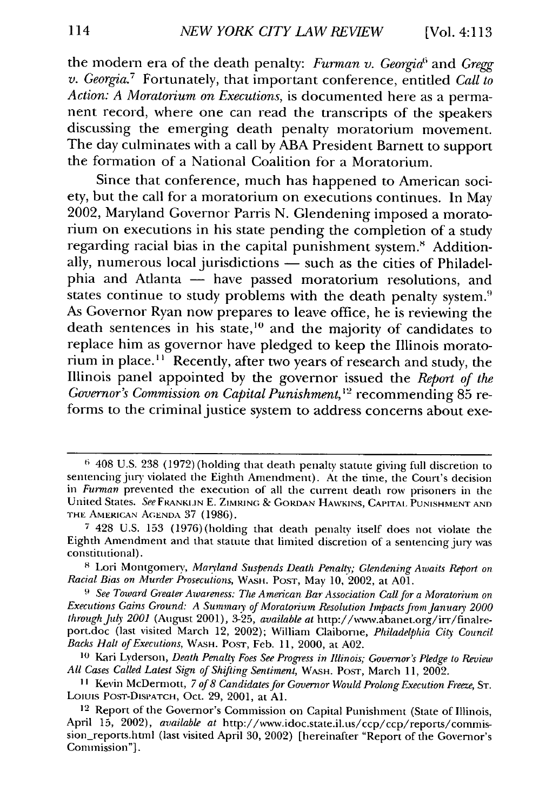the modern era of the death penalty: *Furman v. Georgia'* and *Gregg v. Georgia.7* Fortunately, that important conference, entitled *Call to Action: A Moratorium on Executions,* is documented here as a permanent record, where one can read the transcripts of the speakers discussing the emerging death penalty moratorium movement. The day culminates with a call **by ABA** President Barnett to support the formation of a National Coalition for a Moratorium.

Since that conference, much has happened to American society, but the call for a moratorium on executions continues. In May 2002, Maryland Governor Parris **N.** Glendening imposed a moratorium on executions in his state pending the completion of a study regarding racial bias in the capital punishment system.' Additionally, numerous local jurisdictions  $\frac{1}{x}$  such as the cities of Philadelphia and Atlanta **-** have passed moratorium resolutions, and states continue to study problems with the death penalty system.<sup>9</sup> As Governor Ryan now prepares to leave office, he is reviewing the death sentences in his state,<sup>10</sup> and the majority of candidates to replace him as governor have pledged to keep the Illinois moratorium in place." Recently, after two years of research and study, the Illinois panel appointed **by** the governor issued the *Report of the Governor's Commission on Capital Punishment,1'2* recommending 85 reforms to the criminal justice system to address concerns about exe-

 $6408$  U.S. 238 (1972) (holding that death penalty statute giving full discretion to sentencing jury violated the Eighth Amendment). At the time, the Court's decision in *Furman* prevented the execution of all the **current** death row prisoners in the United States. *See* FRANKLIN **E.** ZIMRING **& GORDAN** HAWKINS, **CAPITAL PUNISHMENT AND THE** AMERICAN **A(GENDA 37** (1986).

**<sup>7</sup>**428 U.S. 153 (1976)(holding that death penalty itself does not violate the Eighth Amendment and that statute that limited discretion of a sentencing jury was constitutional).

**<sup>8</sup>**Lori Montgomery, *Maryland Suspends Death Penalty; Glendening Awaits Report on Racial Bias on Murder Prosecutions,* **WASH.** POST, May **10,** 2002, at AOl.

<sup>&</sup>lt;sup>9</sup> See Toward Greater Awareness: The American Bar Association Call for a Moratorium on *Executions Gains Ground: A Summary of Moratorium Resolution inpactsfrom January 2000 through July 2001* (August 2001), 3-25, *available at* http://www.abanet.org/irr/finalreport.doc (last visited March 12, 2002); William Claiborne, *Philadelphia City Council Backs Halt of Executions,* **WASH.** POST, Feb. 11, 2000, at A02.

**<sup>10</sup>**Kari Lyderson, *Death Penalty Foes See Progress in Illinois; Governor's Pledge to Review All Cases Called Latest Sign of Shifting Sentiment,* **WASH.** POST, March **11,** 2002.

**<sup>11</sup>**Kevin McDermott, *7 of 8 Candidates for Governor Would Prolong Execution Freeze,* ST. **Loiuis** POsT-DISPATCH, Oct. 29, 2001, at **Al.**

<sup>&</sup>lt;sup>12</sup> Report of the Governor's Commission on Capital Punishment (State of Illinois, April 15, 2002), *available at* http://www.idoc.state.il.us/ccp/ccp/reports/commission\_reports.html (last visited April 30, 2002) [hereinafter "Report of the Governor's Commission"].